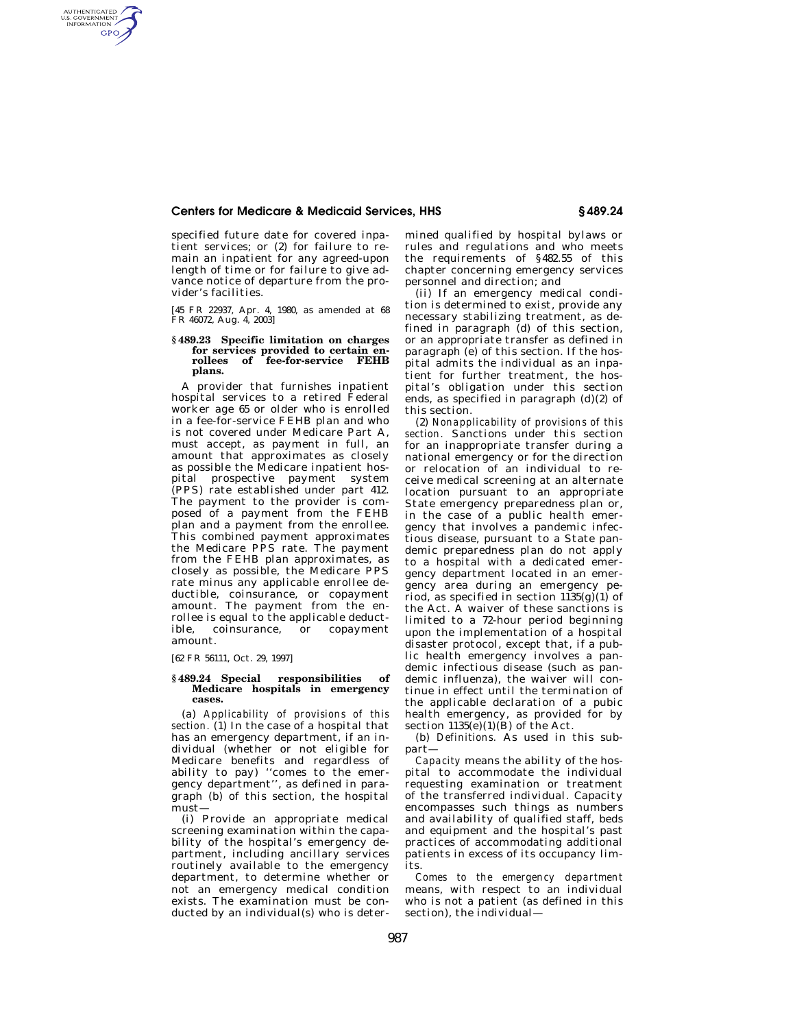specified future date for covered inpatient services; or (2) for failure to remain an inpatient for any agreed-upon length of time or for failure to give advance notice of departure from the provider's facilities.

AUTHENTICATED<br>U.S. GOVERNMENT<br>INFORMATION **GPO** 

> [45 FR 22937, Apr. 4, 1980, as amended at 68 FR 46072, Aug. 4, 2003]

# **§ 489.23 Specific limitation on charges for services provided to certain en-rollees of fee-for-service FEHB plans.**

A provider that furnishes inpatient hospital services to a retired Federal worker age 65 or older who is enrolled in a fee-for-service FEHB plan and who is not covered under Medicare Part A, must accept, as payment in full, an amount that approximates as closely as possible the Medicare inpatient hospital prospective payment system (PPS) rate established under part 412. The payment to the provider is composed of a payment from the FEHB plan and a payment from the enrollee. This combined payment approximates the Medicare PPS rate. The payment from the FEHB plan approximates, as closely as possible, the Medicare PPS rate minus any applicable enrollee deductible, coinsurance, or copayment amount. The payment from the enrollee is equal to the applicable deductible, coinsurance, or copayment amount.

[62 FR 56111, Oct. 29, 1997]

#### **§ 489.24 Special responsibilities of Medicare hospitals in emergency cases.**

(a) *Applicability of provisions of this section.* (1) In the case of a hospital that has an emergency department, if an individual (whether or not eligible for Medicare benefits and regardless of ability to pay) ''comes to the emergency department'', as defined in paragraph (b) of this section, the hospital must—

(i) Provide an appropriate medical screening examination within the capability of the hospital's emergency department, including ancillary services routinely available to the emergency department, to determine whether or not an emergency medical condition exists. The examination must be conducted by an individual(s) who is determined qualified by hospital bylaws or rules and regulations and who meets the requirements of §482.55 of this chapter concerning emergency services personnel and direction; and

(ii) If an emergency medical condition is determined to exist, provide any necessary stabilizing treatment, as defined in paragraph (d) of this section, or an appropriate transfer as defined in paragraph (e) of this section. If the hospital admits the individual as an inpatient for further treatment, the hospital's obligation under this section ends, as specified in paragraph (d)(2) of this section.

(2) *Nonapplicability of provisions of this section.* Sanctions under this section for an inappropriate transfer during a national emergency or for the direction or relocation of an individual to receive medical screening at an alternate location pursuant to an appropriate State emergency preparedness plan or, in the case of a public health emergency that involves a pandemic infectious disease, pursuant to a State pandemic preparedness plan do not apply to a hospital with a dedicated emergency department located in an emergency area during an emergency period, as specified in section  $1135(g)(1)$  of the Act. A waiver of these sanctions is limited to a 72-hour period beginning upon the implementation of a hospital disaster protocol, except that, if a public health emergency involves a pandemic infectious disease (such as pandemic influenza), the waiver will continue in effect until the termination of the applicable declaration of a pubic health emergency, as provided for by section  $1135(e)(1)(B)$  of the Act.

(b) *Definitions.* As used in this subpart—

*Capacity* means the ability of the hospital to accommodate the individual requesting examination or treatment of the transferred individual. Capacity encompasses such things as numbers and availability of qualified staff, beds and equipment and the hospital's past practices of accommodating additional patients in excess of its occupancy limits.

*Comes to the emergency department*  means, with respect to an individual who is not a patient (as defined in this section), the individual—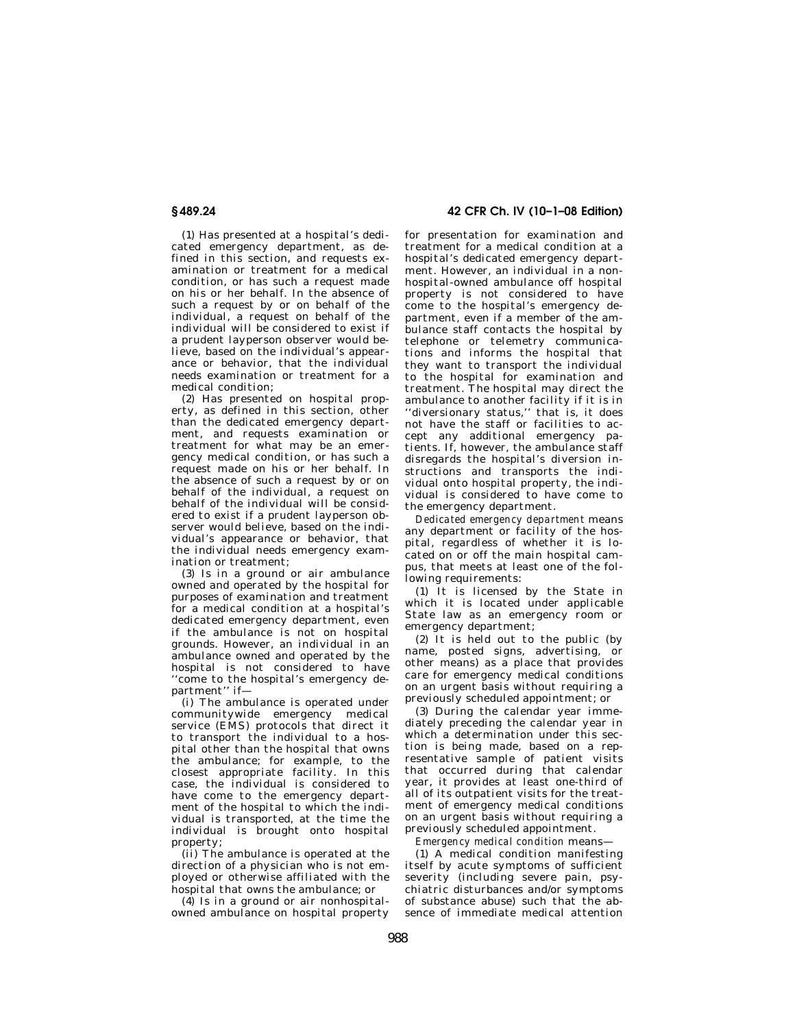(1) Has presented at a hospital's dedicated emergency department, as defined in this section, and requests examination or treatment for a medical condition, or has such a request made on his or her behalf. In the absence of such a request by or on behalf of the individual, a request on behalf of the individual will be considered to exist if a prudent layperson observer would believe, based on the individual's appearance or behavior, that the individual needs examination or treatment for a medical condition;

(2) Has presented on hospital property, as defined in this section, other than the dedicated emergency department, and requests examination or treatment for what may be an emergency medical condition, or has such a request made on his or her behalf. In the absence of such a request by or on behalf of the individual, a request on behalf of the individual will be considered to exist if a prudent layperson observer would believe, based on the individual's appearance or behavior, that the individual needs emergency examination or treatment;

(3) Is in a ground or air ambulance owned and operated by the hospital for purposes of examination and treatment for a medical condition at a hospital's dedicated emergency department, even if the ambulance is not on hospital grounds. However, an individual in an ambulance owned and operated by the hospital is not considered to have ''come to the hospital's emergency department'' if—

(i) The ambulance is operated under communitywide emergency medical service (EMS) protocols that direct it to transport the individual to a hospital other than the hospital that owns the ambulance; for example, to the closest appropriate facility. In this case, the individual is considered to have come to the emergency department of the hospital to which the individual is transported, at the time the individual is brought onto hospital property;

(ii) The ambulance is operated at the direction of a physician who is not employed or otherwise affiliated with the hospital that owns the ambulance; or

 $(4)$  Is in a ground or air nonhospitalowned ambulance on hospital property

# **§ 489.24 42 CFR Ch. IV (10–1–08 Edition)**

for presentation for examination and treatment for a medical condition at a hospital's dedicated emergency department. However, an individual in a nonhospital-owned ambulance off hospital property is not considered to have come to the hospital's emergency department, even if a member of the ambulance staff contacts the hospital by telephone or telemetry communications and informs the hospital that they want to transport the individual to the hospital for examination and treatment. The hospital may direct the ambulance to another facility if it is in ''diversionary status,'' that is, it does not have the staff or facilities to accept any additional emergency patients. If, however, the ambulance staff disregards the hospital's diversion instructions and transports the individual onto hospital property, the individual is considered to have come to the emergency department.

*Dedicated emergency department* means any department or facility of the hospital, regardless of whether it is located on or off the main hospital campus, that meets at least one of the following requirements:

(1) It is licensed by the State in which it is located under applicable State law as an emergency room or emergency department;

(2) It is held out to the public (by name, posted signs, advertising, or other means) as a place that provides care for emergency medical conditions on an urgent basis without requiring a previously scheduled appointment; or

(3) During the calendar year immediately preceding the calendar year in which a determination under this section is being made, based on a representative sample of patient visits that occurred during that calendar year, it provides at least one-third of all of its outpatient visits for the treatment of emergency medical conditions on an urgent basis without requiring a previously scheduled appointment.

*Emergency medical condition* means—

(1) A medical condition manifesting itself by acute symptoms of sufficient severity (including severe pain, psychiatric disturbances and/or symptoms of substance abuse) such that the absence of immediate medical attention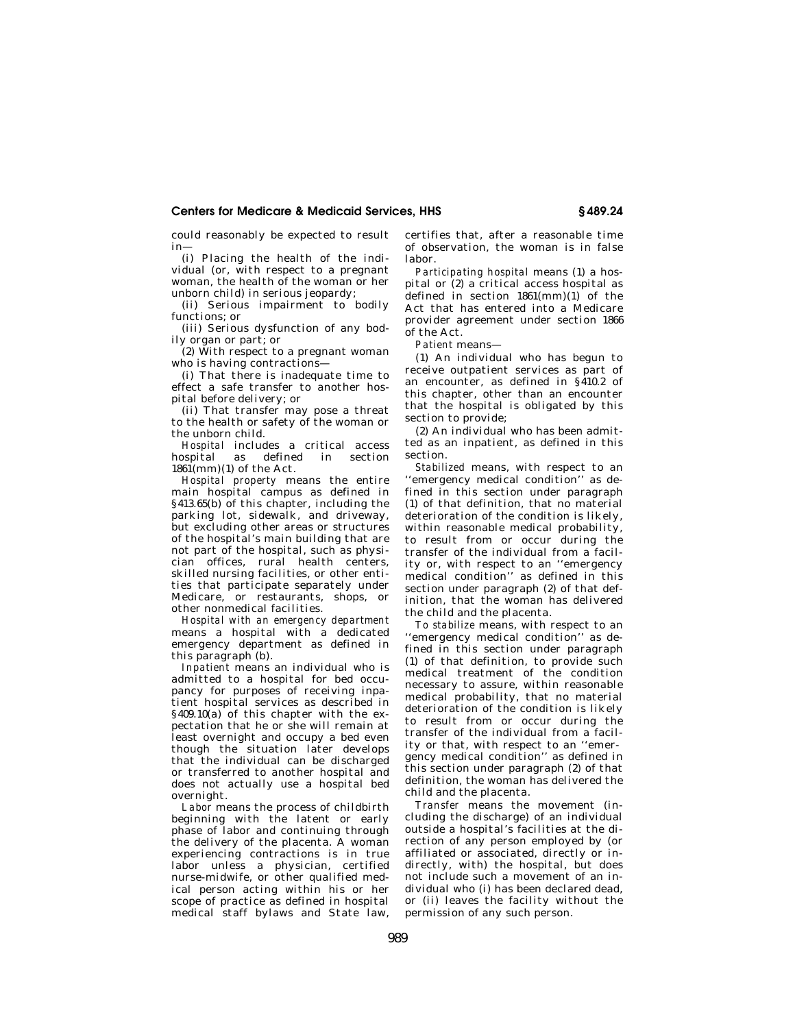could reasonably be expected to result in—

(i) Placing the health of the individual (or, with respect to a pregnant woman, the health of the woman or her unborn child) in serious jeopardy;

(ii) Serious impairment to bodily functions; or

(iii) Serious dysfunction of any bodily organ or part; or

(2) With respect to a pregnant woman who is having contractions—

(i) That there is inadequate time to effect a safe transfer to another hospital before delivery; or

(ii) That transfer may pose a threat to the health or safety of the woman or the unborn child.

*Hospital* includes a critical access hospital as defined in section  $1861$ (mm)(1) of the Act.

*Hospital property* means the entire main hospital campus as defined in §413.65(b) of this chapter, including the parking lot, sidewalk, and driveway, but excluding other areas or structures of the hospital's main building that are not part of the hospital, such as physician offices, rural health centers, skilled nursing facilities, or other entities that participate separately under Medicare, or restaurants, shops, or other nonmedical facilities.

*Hospital with an emergency department*  means a hospital with a dedicated emergency department as defined in this paragraph (b).

*Inpatient* means an individual who is admitted to a hospital for bed occupancy for purposes of receiving inpatient hospital services as described in §409.10(a) of this chapter with the expectation that he or she will remain at least overnight and occupy a bed even though the situation later develops that the individual can be discharged or transferred to another hospital and does not actually use a hospital bed overnight.

*Labor* means the process of childbirth beginning with the latent or early phase of labor and continuing through the delivery of the placenta. A woman experiencing contractions is in true labor unless a physician, certified nurse-midwife, or other qualified medical person acting within his or her scope of practice as defined in hospital medical staff bylaws and State law, certifies that, after a reasonable time of observation, the woman is in false labor.

*Participating hospital* means (1) a hospital or (2) a critical access hospital as defined in section 1861(mm)(1) of the Act that has entered into a Medicare provider agreement under section 1866 of the Act.

*Patient* means—

(1) An individual who has begun to receive outpatient services as part of an encounter, as defined in §410.2 of this chapter, other than an encounter that the hospital is obligated by this section to provide;

(2) An individual who has been admitted as an inpatient, as defined in this section.

*Stabilized* means, with respect to an 'emergency medical condition'' as defined in this section under paragraph (1) of that definition, that no material deterioration of the condition is likely, within reasonable medical probability, to result from or occur during the transfer of the individual from a facility or, with respect to an ''emergency medical condition'' as defined in this section under paragraph (2) of that definition, that the woman has delivered the child and the placenta.

*To stabilize* means, with respect to an 'emergency medical condition" as defined in this section under paragraph (1) of that definition, to provide such medical treatment of the condition necessary to assure, within reasonable medical probability, that no material deterioration of the condition is likely to result from or occur during the transfer of the individual from a facility or that, with respect to an ''emergency medical condition'' as defined in this section under paragraph (2) of that definition, the woman has delivered the child and the placenta.

*Transfer* means the movement (including the discharge) of an individual outside a hospital's facilities at the direction of any person employed by (or affiliated or associated, directly or indirectly, with) the hospital, but does not include such a movement of an individual who (i) has been declared dead, or (ii) leaves the facility without the permission of any such person.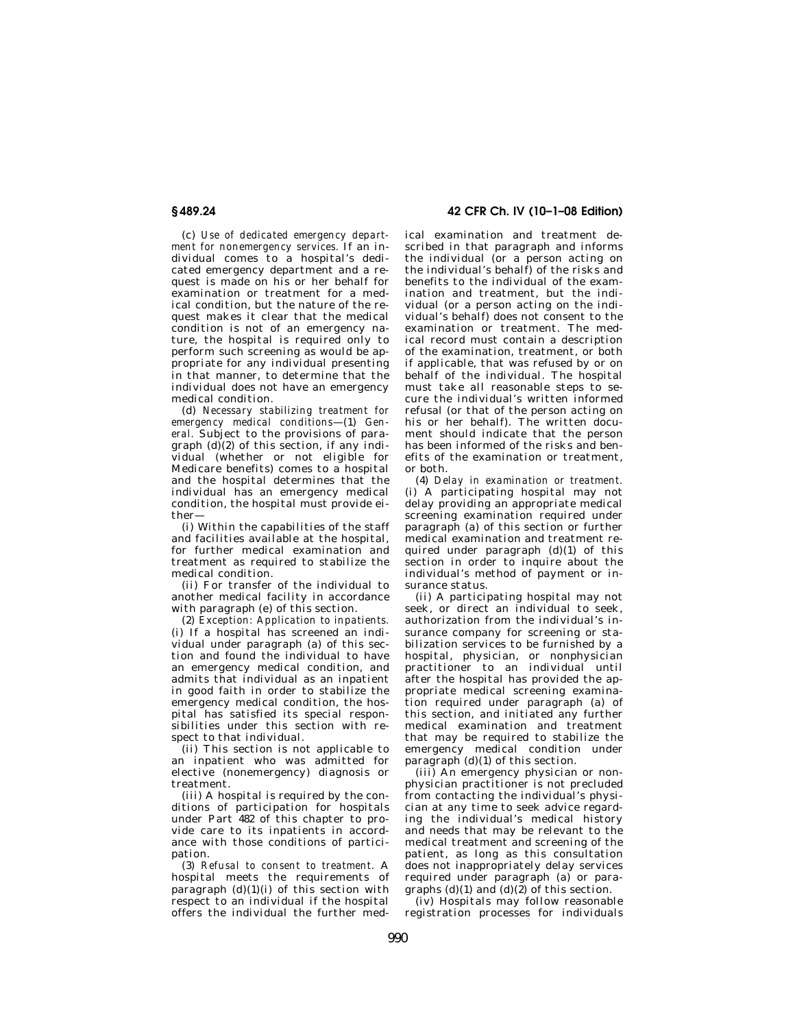(c) *Use of dedicated emergency department for nonemergency services.* If an individual comes to a hospital's dedicated emergency department and a request is made on his or her behalf for examination or treatment for a medical condition, but the nature of the request makes it clear that the medical condition is not of an emergency nature, the hospital is required only to perform such screening as would be appropriate for any individual presenting in that manner, to determine that the individual does not have an emergency medical condition.

(d) *Necessary stabilizing treatment for emergency medical conditions*—(1) *General.* Subject to the provisions of paragraph  $(d)(2)$  of this section, if any individual (whether or not eligible for Medicare benefits) comes to a hospital and the hospital determines that the individual has an emergency medical condition, the hospital must provide either—

(i) Within the capabilities of the staff and facilities available at the hospital, for further medical examination and treatment as required to stabilize the medical condition.

(ii) For transfer of the individual to another medical facility in accordance with paragraph (e) of this section.

(2) *Exception: Application to inpatients.*  (i) If a hospital has screened an individual under paragraph (a) of this section and found the individual to have an emergency medical condition, and admits that individual as an inpatient in good faith in order to stabilize the emergency medical condition, the hospital has satisfied its special responsibilities under this section with respect to that individual.

(ii) This section is not applicable to an inpatient who was admitted for elective (nonemergency) diagnosis or treatment.

(iii) A hospital is required by the conditions of participation for hospitals under Part 482 of this chapter to provide care to its inpatients in accordance with those conditions of participation.

(3) *Refusal to consent to treatment.* A hospital meets the requirements of paragraph  $(d)(1)(i)$  of this section with respect to an individual if the hospital offers the individual the further med-

**§ 489.24 42 CFR Ch. IV (10–1–08 Edition)** 

ical examination and treatment described in that paragraph and informs the individual (or a person acting on the individual's behalf) of the risks and benefits to the individual of the examination and treatment, but the individual (or a person acting on the individual's behalf) does not consent to the examination or treatment. The medical record must contain a description of the examination, treatment, or both if applicable, that was refused by or on behalf of the individual. The hospital must take all reasonable steps to secure the individual's written informed refusal (or that of the person acting on his or her behalf). The written document should indicate that the person has been informed of the risks and benefits of the examination or treatment, or both.

(4) *Delay in examination or treatment.*  (i) A participating hospital may not delay providing an appropriate medical screening examination required under paragraph (a) of this section or further medical examination and treatment required under paragraph (d)(1) of this section in order to inquire about the individual's method of payment or insurance status.

(ii) A participating hospital may not seek, or direct an individual to seek, authorization from the individual's insurance company for screening or stabilization services to be furnished by a hospital, physician, or nonphysician practitioner to an individual until after the hospital has provided the appropriate medical screening examination required under paragraph (a) of this section, and initiated any further medical examination and treatment that may be required to stabilize the emergency medical condition under paragraph  $(d)(1)$  of this section.

(iii) An emergency physician or nonphysician practitioner is not precluded from contacting the individual's physician at any time to seek advice regarding the individual's medical history and needs that may be relevant to the medical treatment and screening of the patient, as long as this consultation does not inappropriately delay services required under paragraph (a) or paragraphs  $(d)(1)$  and  $(d)(2)$  of this section.

(iv) Hospitals may follow reasonable registration processes for individuals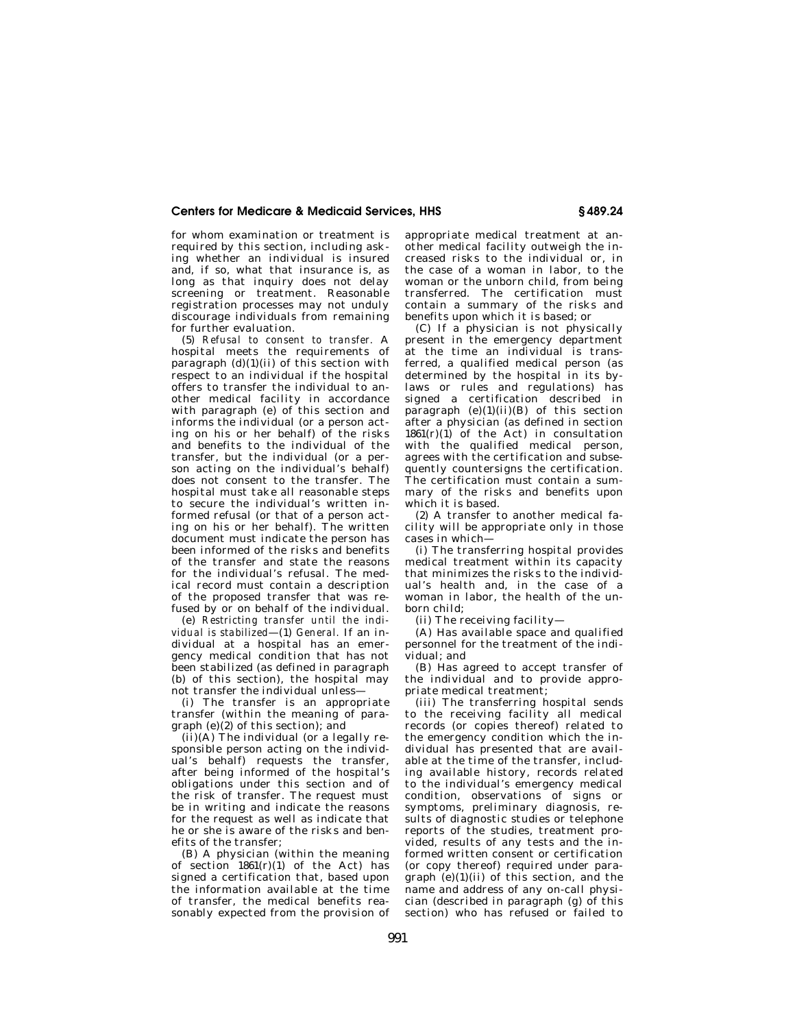for whom examination or treatment is required by this section, including asking whether an individual is insured and, if so, what that insurance is, as long as that inquiry does not delay screening or treatment. Reasonable registration processes may not unduly discourage individuals from remaining for further evaluation.

(5) *Refusal to consent to transfer.* A hospital meets the requirements of paragraph  $(d)(1)(ii)$  of this section with respect to an individual if the hospital offers to transfer the individual to another medical facility in accordance with paragraph (e) of this section and informs the individual (or a person acting on his or her behalf) of the risks and benefits to the individual of the transfer, but the individual (or a person acting on the individual's behalf) does not consent to the transfer. The hospital must take all reasonable steps to secure the individual's written informed refusal (or that of a person acting on his or her behalf). The written document must indicate the person has been informed of the risks and benefits of the transfer and state the reasons for the individual's refusal. The medical record must contain a description of the proposed transfer that was refused by or on behalf of the individual.

(e) *Restricting transfer until the individual is stabilized*—(1) *General.* If an individual at a hospital has an emergency medical condition that has not been stabilized (as defined in paragraph (b) of this section), the hospital may not transfer the individual unless—

(i) The transfer is an appropriate transfer (within the meaning of paragraph (e)(2) of this section); and

 $(ii)(A)$  The individual (or a legally responsible person acting on the individual's behalf) requests the transfer, after being informed of the hospital's obligations under this section and of the risk of transfer. The request must be in writing and indicate the reasons for the request as well as indicate that he or she is aware of the risks and benefits of the transfer;

(B) A physician (within the meaning of section  $1861(r)(1)$  of the Act) has signed a certification that, based upon the information available at the time of transfer, the medical benefits reasonably expected from the provision of appropriate medical treatment at another medical facility outweigh the increased risks to the individual or, in the case of a woman in labor, to the woman or the unborn child, from being transferred. The certification must contain a summary of the risks and benefits upon which it is based; or

(C) If a physician is not physically present in the emergency department at the time an individual is transferred, a qualified medical person (as determined by the hospital in its bylaws or rules and regulations) has signed a certification described in paragraph  $(e)(1)(ii)(B)$  of this section after a physician (as defined in section  $1861(r)(1)$  of the Act) in consultation with the qualified medical person, agrees with the certification and subsequently countersigns the certification. The certification must contain a summary of the risks and benefits upon which it is based.

(2) A transfer to another medical facility will be appropriate only in those cases in which—

(i) The transferring hospital provides medical treatment within its capacity that minimizes the risks to the individual's health and, in the case of a woman in labor, the health of the unborn child;

(ii) The receiving facility—

(A) Has available space and qualified personnel for the treatment of the individual; and

(B) Has agreed to accept transfer of the individual and to provide appropriate medical treatment;

(iii) The transferring hospital sends to the receiving facility all medical records (or copies thereof) related to the emergency condition which the individual has presented that are available at the time of the transfer, including available history, records related to the individual's emergency medical condition, observations of signs or symptoms, preliminary diagnosis, results of diagnostic studies or telephone reports of the studies, treatment provided, results of any tests and the informed written consent or certification (or copy thereof) required under paragraph  $(e)(1)(ii)$  of this section, and the name and address of any on-call physician (described in paragraph  $(g)$  of this section) who has refused or failed to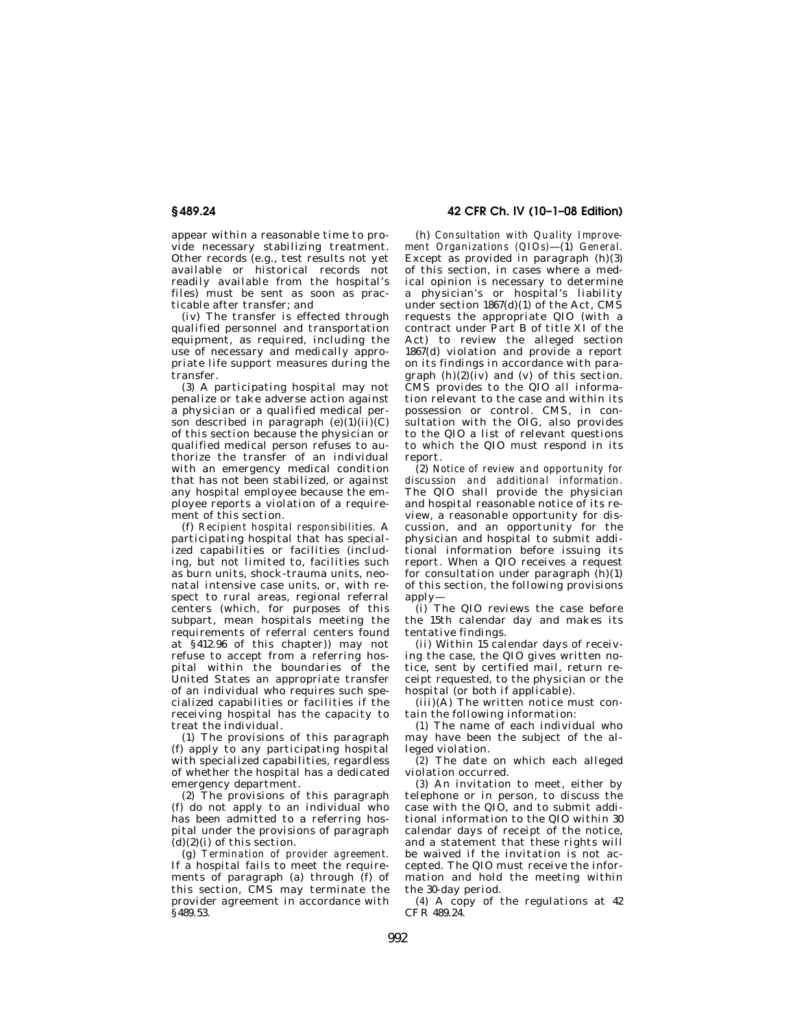appear within a reasonable time to provide necessary stabilizing treatment. Other records (e.g., test results not yet available or historical records not readily available from the hospital's files) must be sent as soon as practicable after transfer; and

(iv) The transfer is effected through qualified personnel and transportation equipment, as required, including the use of necessary and medically appropriate life support measures during the transfer.

(3) A participating hospital may not penalize or take adverse action against a physician or a qualified medical person described in paragraph  $(e)(1)(ii)(C)$ of this section because the physician or qualified medical person refuses to authorize the transfer of an individual with an emergency medical condition that has not been stabilized, or against any hospital employee because the employee reports a violation of a requirement of this section.

(f) *Recipient hospital responsibilities.* A participating hospital that has specialized capabilities or facilities (including, but not limited to, facilities such as burn units, shock-trauma units, neonatal intensive case units, or, with respect to rural areas, regional referral centers (which, for purposes of this subpart, mean hospitals meeting the requirements of referral centers found at §412.96 of this chapter)) may not refuse to accept from a referring hospital within the boundaries of the .<br>United States an appropriate transfer of an individual who requires such specialized capabilities or facilities if the receiving hospital has the capacity to treat the individual.

(1) The provisions of this paragraph (f) apply to any participating hospital with specialized capabilities, regardless of whether the hospital has a dedicated emergency department.

(2) The provisions of this paragraph (f) do not apply to an individual who has been admitted to a referring hospital under the provisions of paragraph  $(d)(2)(i)$  of this section.

(g) *Termination of provider agreement.*  If a hospital fails to meet the requirements of paragraph (a) through (f) of this section, CMS may terminate the provider agreement in accordance with §489.53.

**§ 489.24 42 CFR Ch. IV (10–1–08 Edition)** 

(h) *Consultation with Quality Improvement Organizations (QIOs)*—(1) *General.*  Except as provided in paragraph (h)(3) of this section, in cases where a medical opinion is necessary to determine a physician's or hospital's liability under section  $1867(d)(1)$  of the Act, CMS requests the appropriate QIO (with a contract under Part B of title XI of the Act) to review the alleged section 1867(d) violation and provide a report on its findings in accordance with paragraph  $(h)(2)(iv)$  and  $(v)$  of this section. CMS provides to the QIO all information relevant to the case and within its possession or control. CMS, in consultation with the OIG, also provides to the QIO a list of relevant questions to which the QIO must respond in its report.

(2) *Notice of review and opportunity for discussion and additional information.*  The QIO shall provide the physician and hospital reasonable notice of its review, a reasonable opportunity for discussion, and an opportunity for the physician and hospital to submit additional information before issuing its report. When a QIO receives a request for consultation under paragraph (h)(1) of this section, the following provisions apply—

(i) The QIO reviews the case before the 15th calendar day and makes its tentative findings.

(ii) Within 15 calendar days of receiving the case, the QIO gives written notice, sent by certified mail, return receipt requested, to the physician or the hospital (or both if applicable).

(iii)(A) The written notice must contain the following information:

(*1*) The name of each individual who may have been the subject of the alleged violation.

(*2*) The date on which each alleged violation occurred.

(*3*) An invitation to meet, either by telephone or in person, to discuss the case with the QIO, and to submit additional information to the QIO within 30 calendar days of receipt of the notice, and a statement that these rights will be waived if the invitation is not accepted. The QIO must receive the information and hold the meeting within the 30-day period.

(*4*) A copy of the regulations at 42 CFR 489.24.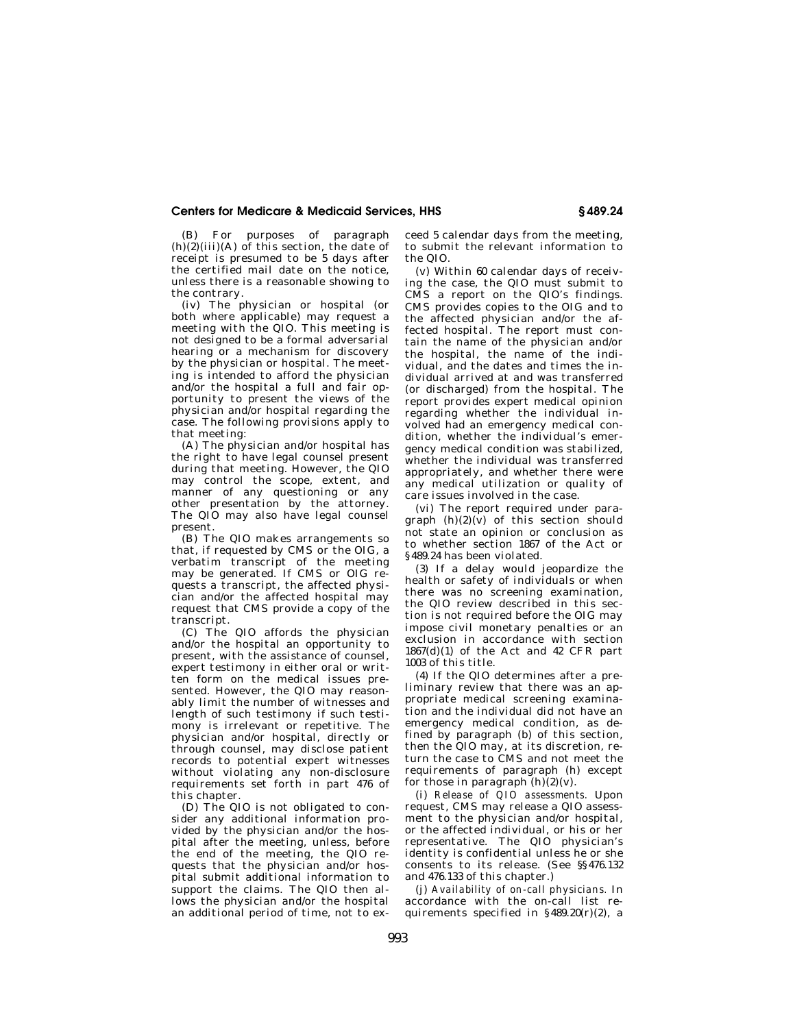(B) For purposes of paragraph  $(h)(2)(iii)(A)$  of this section, the date of receipt is presumed to be 5 days after the certified mail date on the notice, unless there is a reasonable showing to the contrary.

(iv) The physician or hospital (or both where applicable) may request a meeting with the QIO. This meeting is not designed to be a formal adversarial hearing or a mechanism for discovery by the physician or hospital. The meeting is intended to afford the physician and/or the hospital a full and fair opportunity to present the views of the physician and/or hospital regarding the case. The following provisions apply to that meeting:

(A) The physician and/or hospital has the right to have legal counsel present during that meeting. However, the QIO may control the scope, extent, and manner of any questioning or any other presentation by the attorney. The QIO may also have legal counsel present.

(B) The QIO makes arrangements so that, if requested by CMS or the OIG, a verbatim transcript of the meeting may be generated. If CMS or OIG requests a transcript, the affected physician and/or the affected hospital may request that CMS provide a copy of the transcript.

(C) The QIO affords the physician and/or the hospital an opportunity to present, with the assistance of counsel, expert testimony in either oral or written form on the medical issues presented. However, the QIO may reasonably limit the number of witnesses and length of such testimony if such testimony is irrelevant or repetitive. The physician and/or hospital, directly or through counsel, may disclose patient records to potential expert witnesses without violating any non-disclosure requirements set forth in part 476 of this chapter.

(D) The QIO is not obligated to consider any additional information provided by the physician and/or the hospital after the meeting, unless, before the end of the meeting, the QIO requests that the physician and/or hospital submit additional information to support the claims. The QIO then allows the physician and/or the hospital an additional period of time, not to exceed 5 calendar days from the meeting, to submit the relevant information to the QIO.

(v) Within 60 calendar days of receiving the case, the QIO must submit to CMS a report on the QIO's findings. CMS provides copies to the OIG and to the affected physician and/or the affected hospital. The report must contain the name of the physician and/or the hospital, the name of the individual, and the dates and times the individual arrived at and was transferred (or discharged) from the hospital. The report provides expert medical opinion regarding whether the individual involved had an emergency medical condition, whether the individual's emergency medical condition was stabilized, whether the individual was transferred appropriately, and whether there were any medical utilization or quality of care issues involved in the case.

(vi) The report required under paragraph  $(h)(2)(v)$  of this section should not state an opinion or conclusion as to whether section 1867 of the Act or §489.24 has been violated.

(3) If a delay would jeopardize the health or safety of individuals or when there was no screening examination, the QIO review described in this section is not required before the OIG may impose civil monetary penalties or an exclusion in accordance with section  $1867(d)(1)$  of the Act and 42 CFR part 1003 of this title.

(4) If the QIO determines after a preliminary review that there was an appropriate medical screening examination and the individual did not have an emergency medical condition, as defined by paragraph (b) of this section, then the QIO may, at its discretion, return the case to CMS and not meet the requirements of paragraph (h) except for those in paragraph  $(h)(2)(v)$ .

(i) *Release of QIO assessments.* Upon request, CMS may release a QIO assessment to the physician and/or hospital, or the affected individual, or his or her representative. The QIO physician's identity is confidential unless he or she consents to its release. (See §§476.132 and 476.133 of this chapter.)

(j) *Availability of on-call physicians.* In accordance with the on-call list requirements specified in §489.20(r)(2), a